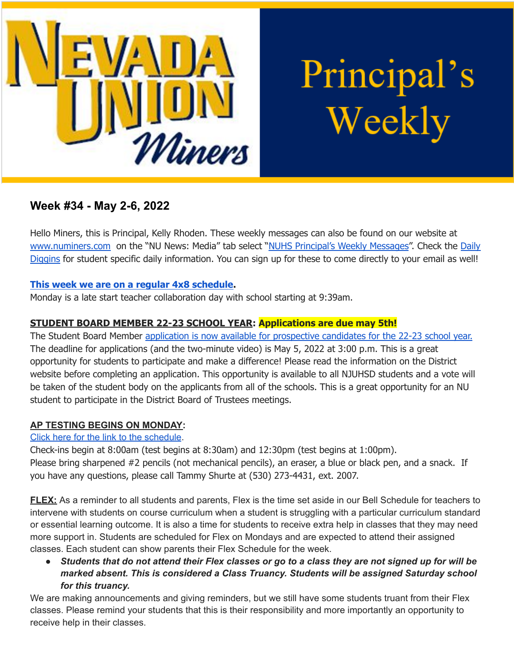

Principal's Weekly

# **Week #34 - May 2-6, 2022**

Hello Miners, this is Principal, Kelly Rhoden. These weekly messages can also be found on our website at [www.numiners.com](http://www.numiners.com) on the "NU News: Media" tab select "NUHS [Principal's](https://nevadaunion.njuhsd.com/NU-NewsMedia/NUHS-Principals-Weekly-Messages/index.html) Weekly Messages". Check the [Daily](https://nevadaunion.njuhsd.com/NU-NewsMedia/Daily-Diggins-Bulletin/index.html) [Diggins](https://nevadaunion.njuhsd.com/NU-NewsMedia/Daily-Diggins-Bulletin/index.html) for student specific daily information. You can sign up for these to come directly to your email as well!

## **This week we are on a regular 4x8 [schedule.](https://nevadaunion.njuhsd.com/documents/Bell%20Schedules/Bell-Schedule-2021-2022-NUHS-4x8.pdf)**

Monday is a late start teacher collaboration day with school starting at 9:39am.

# **STUDENT BOARD MEMBER 22-23 SCHOOL YEAR: Applications are due may 5th!**

The Student Board Member application is now available for [prospective](https://www.njuhsd.com/Our-District/Board-Student-Representative-Election/index.html) candidates for the 22-23 school year. The deadline for applications (and the two-minute video) is May 5, 2022 at 3:00 p.m. This is a great opportunity for students to participate and make a difference! Please read the information on the District website before completing an application. This opportunity is available to all NJUHSD students and a vote will be taken of the student body on the applicants from all of the schools. This is a great opportunity for an NU student to participate in the District Board of Trustees meetings.

### **AP TESTING BEGINS ON MONDAY:**

### Click here for the link to the [schedule](https://nevadaunion.njuhsd.com/About-Us/Testing--Accountability/Advanced-Placement-Tests/index.html).

Check-ins begin at 8:00am (test begins at 8:30am) and 12:30pm (test begins at 1:00pm). Please bring sharpened #2 pencils (not mechanical pencils), an eraser, a blue or black pen, and a snack. If you have any questions, please call Tammy Shurte at (530) 273-4431, ext. 2007.

**FLEX:** As a reminder to all students and parents, Flex is the time set aside in our Bell Schedule for teachers to intervene with students on course curriculum when a student is struggling with a particular curriculum standard or essential learning outcome. It is also a time for students to receive extra help in classes that they may need more support in. Students are scheduled for Flex on Mondays and are expected to attend their assigned classes. Each student can show parents their Flex Schedule for the week.

• Students that do not attend their Flex classes or go to a class they are not signed up for will be *marked absent. This is considered a Class Truancy. Students will be assigned Saturday school for this truancy.*

We are making announcements and giving reminders, but we still have some students truant from their Flex classes. Please remind your students that this is their responsibility and more importantly an opportunity to receive help in their classes.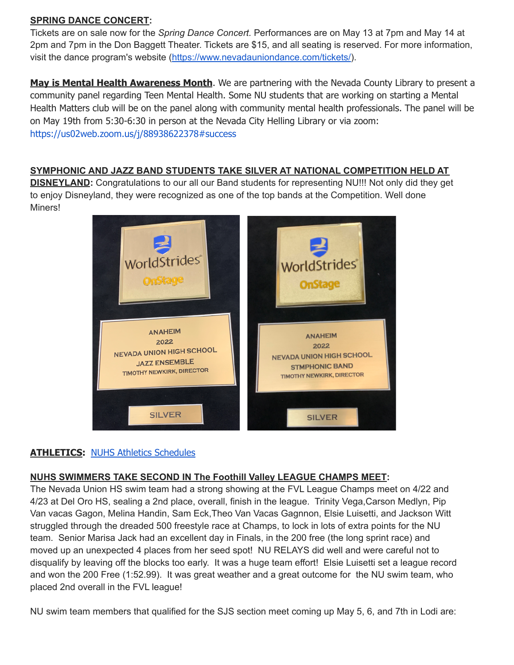### **SPRING DANCE CONCERT:**

Tickets are on sale now for the *Spring Dance Concert.* Performances are on May 13 at 7pm and May 14 at 2pm and 7pm in the Don Baggett Theater. Tickets are \$15, and all seating is reserved. For more information, visit the dance program's website (<https://www.nevadauniondance.com/tickets/>).

**May is Mental Health Awareness Month**. We are partnering with the Nevada County Library to present a community panel regarding Teen Mental Health. Some NU students that are working on starting a Mental Health Matters club will be on the panel along with community mental health professionals. The panel will be on May 19th from 5:30-6:30 in person at the Nevada City Helling Library or via zoom: <https://us02web.zoom.us/j/88938622378#success>

#### **SYMPHONIC AND JAZZ BAND STUDENTS TAKE SILVER AT NATIONAL COMPETITION HELD AT**

**DISNEYLAND:** Congratulations to our all our Band students for representing NU!!! Not only did they get to enjoy Disneyland, they were recognized as one of the top bands at the Competition. Well done Miners!



### **ATHLETICS: NUHS Athletics [Schedules](https://nevadaunion.njuhsd.com/Athletics/Sports-Calendar--Schedules/index.html)**

### **NUHS SWIMMERS TAKE SECOND IN The Foothill Valley LEAGUE CHAMPS MEET:**

The Nevada Union HS swim team had a strong showing at the FVL League Champs meet on 4/22 and 4/23 at Del Oro HS, sealing a 2nd place, overall, finish in the league. Trinity Vega,Carson Medlyn, Pip Van vacas Gagon, Melina Handin, Sam Eck,Theo Van Vacas Gagnnon, Elsie Luisetti, and Jackson Witt struggled through the dreaded 500 freestyle race at Champs, to lock in lots of extra points for the NU team. Senior Marisa Jack had an excellent day in Finals, in the 200 free (the long sprint race) and moved up an unexpected 4 places from her seed spot! NU RELAYS did well and were careful not to disqualify by leaving off the blocks too early. It was a huge team effort! Elsie Luisetti set a league record and won the 200 Free (1:52.99). It was great weather and a great outcome for the NU swim team, who placed 2nd overall in the FVL league!

NU swim team members that qualified for the SJS section meet coming up May 5, 6, and 7th in Lodi are: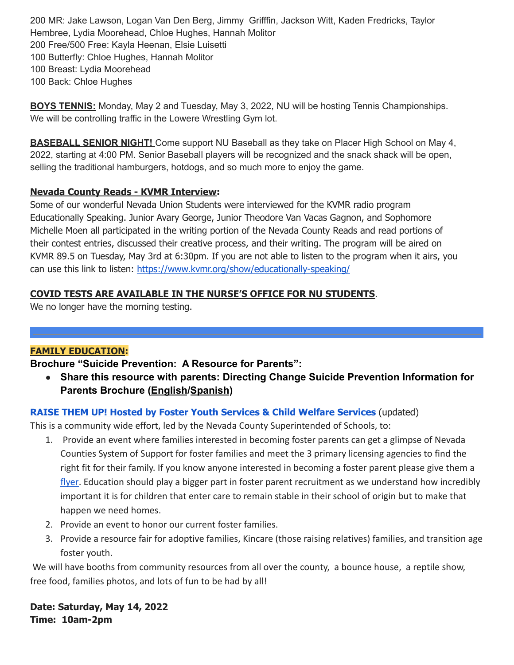MR: Jake Lawson, Logan Van Den Berg, Jimmy Grifffin, Jackson Witt, Kaden Fredricks, Taylor Hembree, Lydia Moorehead, Chloe Hughes, Hannah Molitor Free/500 Free: Kayla Heenan, Elsie Luisetti Butterfly: Chloe Hughes, Hannah Molitor Breast: Lydia Moorehead Back: Chloe Hughes

**BOYS TENNIS:** Monday, May 2 and Tuesday, May 3, 2022, NU will be hosting Tennis Championships. We will be controlling traffic in the Lowere Wrestling Gym lot.

**BASEBALL SENIOR NIGHT!** Come support NU Baseball as they take on Placer High School on May 4, 2022, starting at 4:00 PM. Senior Baseball players will be recognized and the snack shack will be open, selling the traditional hamburgers, hotdogs, and so much more to enjoy the game.

# **Nevada County Reads - KVMR Interview:**

Some of our wonderful Nevada Union Students were interviewed for the KVMR radio program Educationally Speaking. Junior Avary George, Junior Theodore Van Vacas Gagnon, and Sophomore Michelle Moen all participated in the writing portion of the Nevada County Reads and read portions of their contest entries, discussed their creative process, and their writing. The program will be aired on KVMR 89.5 on Tuesday, May 3rd at 6:30pm. If you are not able to listen to the program when it airs, you can use this link to listen: <https://www.kvmr.org/show/educationally-speaking/>

# **COVID TESTS ARE AVAILABLE IN THE NURSE'S OFFICE FOR NU STUDENTS**.

We no longer have the morning testing.

# **FAMILY EDUCATION:**

**Brochure "Suicide Prevention: A Resource for Parents":**

**● Share this resource with parents: Directing Change Suicide Prevention Information for Parents Brochure ([English](https://linkprotect.cudasvc.com/url?a=https%3a%2f%2fwww.suicideispreventable.org%2fwp-content%2fuploads%2f2021%2f07%2fDC-Parent-Brochure-Eversion.pdf&c=E,1,zoRV2O_2GqwNu2NMquQDBMMjU8xO8QWpfkQqwtPoGoETToV-YaHH6IqWdSIK9GHA6FKwnhqsiA2ySzmLW0H4AbDFeMhGQA7RShEAL8vosYkp6Ex6YGyEQowOKQ5_&typo=1)/[Spanish](https://linkprotect.cudasvc.com/url?a=https%3a%2f%2fwww.suicideispreventable.org%2fwp-content%2fuploads%2f2021%2f07%2fDC-Parent-Brochure-Spanish-Eversion.pdf&c=E,1,Me-I3T0PzqxmU6ocgQWhfcbvj2WF2rKj4oKpLjIbXXXInB4Ci6PIriJLynKCsuIuqB0km-4uLRBgnIimnUKdGpYirnV_VC0nfvLdwVL8zd5_Z8M,&typo=1))**

# **RAISE THEM UP! Hosted by Foster Youth Services & Child Welfare [Services](https://drive.google.com/file/d/1c-xLIzehkua28fMpjV7l8QZq7Gwo71gD/view?usp=sharing)** (updated)

This is a community wide effort, led by the Nevada County Superintended of Schools, to:

- 1. Provide an event where families interested in becoming foster parents can get a glimpse of Nevada Counties System of Support for foster families and meet the 3 primary licensing agencies to find the right fit for their family. If you know anyone interested in becoming a foster parent please give them a [flyer.](https://drive.google.com/file/d/1c-xLIzehkua28fMpjV7l8QZq7Gwo71gD/view?usp=sharing) Education should play a bigger part in foster parent recruitment as we understand how incredibly important it is for children that enter care to remain stable in their school of origin but to make that happen we need homes.
- 2. Provide an event to honor our current foster families.
- 3. Provide a resource fair for adoptive families, Kincare (those raising relatives) families, and transition age foster youth.

We will have booths from community resources from all over the county, a bounce house, a reptile show, free food, families photos, and lots of fun to be had by all!

**Date: Saturday, May 14, 2022 Time: 10am-2pm**